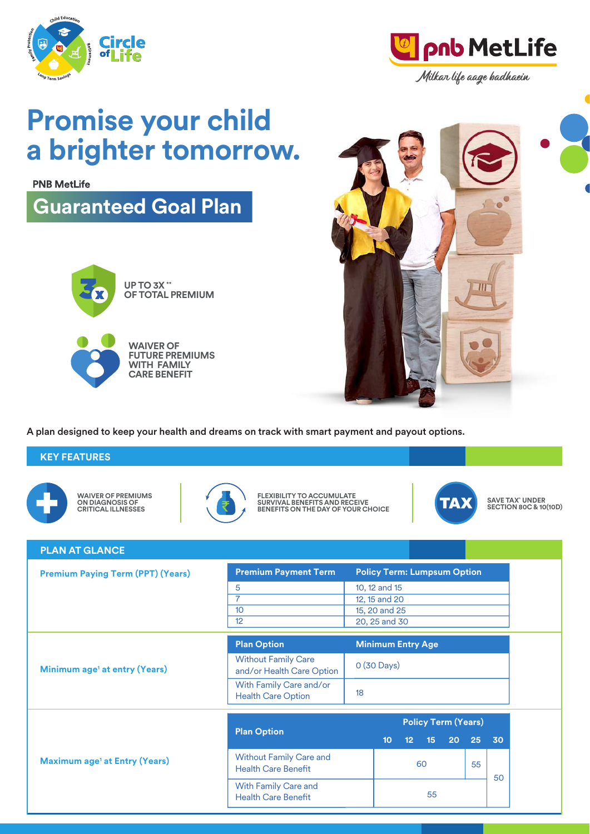



**Promise your child a brighter tomorrow.**

**PNB MetLife** 

**Guaranteed Goal Plan** 



**OF TOTAL PREMIUM**

**WAIVER OF FUTURE PREMIUMS WITH FAMILY CARE BENEFIT**



A plan designed to keep your health and dreams on track with smart payment and payout options.

# **KEY FEATURES**



**WAIVER OF PREMIUMS ON DIAGNOSIS OF CRITICAL ILLNESSES**



**FLEXIBILITY TO ACCUMULATE SURVIVAL BENEFITS AND RECEIVE BENEFITS ON THE DAY OF YOUR CHOICE**



**SAVE TAX^ UNDER SECTION 80C & 10(10D)**

| <b>PLAN AT GLANCE</b>                           |                                                              |                            |                                    |                 |                 |    |    |    |  |
|-------------------------------------------------|--------------------------------------------------------------|----------------------------|------------------------------------|-----------------|-----------------|----|----|----|--|
| <b>Premium Paying Term (PPT) (Years)</b>        | <b>Premium Payment Term</b>                                  |                            | <b>Policy Term: Lumpsum Option</b> |                 |                 |    |    |    |  |
|                                                 | 5<br>7                                                       |                            | 10, 12 and 15<br>12, 15 and 20     |                 |                 |    |    |    |  |
|                                                 | 10<br>12                                                     |                            | 15, 20 and 25<br>20, 25 and 30     |                 |                 |    |    |    |  |
| Minimum age <sup>1</sup> at entry (Years)       | <b>Plan Option</b>                                           |                            | <b>Minimum Entry Age</b>           |                 |                 |    |    |    |  |
|                                                 | <b>Without Family Care</b><br>and/or Health Care Option      | 0 (30 Days)                |                                    |                 |                 |    |    |    |  |
|                                                 | With Family Care and/or<br><b>Health Care Option</b>         | 18                         |                                    |                 |                 |    |    |    |  |
| <b>Maximum age<sup>1</sup> at Entry (Years)</b> |                                                              | <b>Policy Term (Years)</b> |                                    |                 |                 |    |    |    |  |
|                                                 | <b>Plan Option</b>                                           |                            | 10 <sub>1</sub>                    | 12 <sub>2</sub> | 15 <sub>1</sub> | 20 | 25 | 30 |  |
|                                                 | <b>Without Family Care and</b><br><b>Health Care Benefit</b> |                            | 60                                 |                 | 55              | 50 |    |    |  |
|                                                 | With Family Care and<br><b>Health Care Benefit</b>           |                            | 55                                 |                 |                 |    |    |    |  |